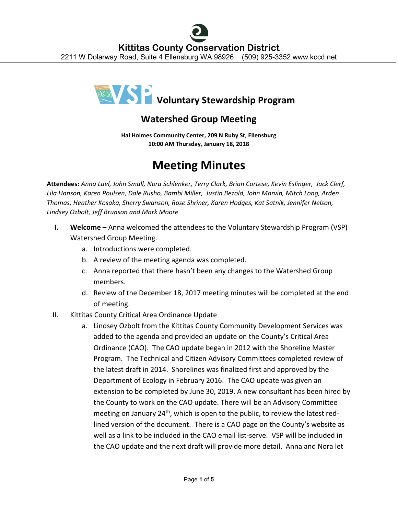

## **Watershed Group Meeting**

**Hal Holmes Community Center, 209 N Ruby St, Ellensburg 10:00 AM Thursday, January 18, 2018**

## **Meeting Minutes**

**Attendees:** *Anna Lael, John Small, Nora Schlenker, Terry Clark, Brian Cortese, Kevin Eslinger, Jack Clerf, Lila Hanson, Karen Poulsen, Dale Rusho, Bambi Miller, Justin Bezold, John Marvin, Mitch Long, Arden Thomas, Heather Kosaka, Sherry Swanson, Rose Shriner, Karen Hodges, Kat Satnik, Jennifer Nelson, Lindsey Ozbolt, Jeff Brunson and Mark Moore*

- **I. Welcome** Anna welcomed the attendees to the Voluntary Stewardship Program (VSP) Watershed Group Meeting.
	- a. Introductions were completed.
	- b. A review of the meeting agenda was completed.
	- c. Anna reported that there hasn't been any changes to the Watershed Group members.
	- d. Review of the December 18, 2017 meeting minutes will be completed at the end of meeting.
- II. Kittitas County Critical Area Ordinance Update
	- a. Lindsey Ozbolt from the Kittitas County Community Development Services was added to the agenda and provided an update on the County's Critical Area Ordinance (CAO). The CAO update began in 2012 with the Shoreline Master Program. The Technical and Citizen Advisory Committees completed review of the latest draft in 2014. Shorelines was finalized first and approved by the Department of Ecology in February 2016. The CAO update was given an extension to be completed by June 30, 2019. A new consultant has been hired by the County to work on the CAO update. There will be an Advisory Committee meeting on January  $24<sup>th</sup>$ , which is open to the public, to review the latest redlined version of the document. There is a CAO page on the County's website as well as a link to be included in the CAO email list-serve. VSP will be included in the CAO update and the next draft will provide more detail. Anna and Nora let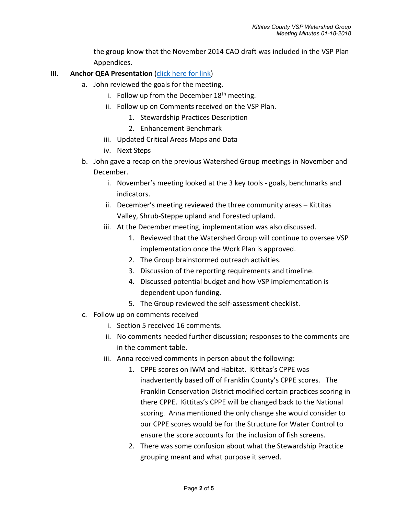the group know that the November 2014 CAO draft was included in the VSP Plan Appendices.

## III. **Anchor QEA Presentation** [\(click here for link\)](http://www.kccd.net/VoluntaryStewardship/2018_0118_KittitasVSP_Presentation%20-%20UPDATED.pdf)

- a. John reviewed the goals for the meeting.
	- i. Follow up from the December  $18<sup>th</sup>$  meeting.
	- ii. Follow up on Comments received on the VSP Plan.
		- 1. Stewardship Practices Description
		- 2. Enhancement Benchmark
	- iii. Updated Critical Areas Maps and Data
	- iv. Next Steps
- b. John gave a recap on the previous Watershed Group meetings in November and December.
	- i. November's meeting looked at the 3 key tools goals, benchmarks and indicators.
	- ii. December's meeting reviewed the three community areas Kittitas Valley, Shrub-Steppe upland and Forested upland.
	- iii. At the December meeting, implementation was also discussed.
		- 1. Reviewed that the Watershed Group will continue to oversee VSP implementation once the Work Plan is approved.
		- 2. The Group brainstormed outreach activities.
		- 3. Discussion of the reporting requirements and timeline.
		- 4. Discussed potential budget and how VSP implementation is dependent upon funding.
		- 5. The Group reviewed the self-assessment checklist.
- c. Follow up on comments received
	- i. Section 5 received 16 comments.
	- ii. No comments needed further discussion; responses to the comments are in the comment table.
	- iii. Anna received comments in person about the following:
		- 1. CPPE scores on IWM and Habitat. Kittitas's CPPE was inadvertently based off of Franklin County's CPPE scores. The Franklin Conservation District modified certain practices scoring in there CPPE. Kittitas's CPPE will be changed back to the National scoring. Anna mentioned the only change she would consider to our CPPE scores would be for the Structure for Water Control to ensure the score accounts for the inclusion of fish screens.
		- 2. There was some confusion about what the Stewardship Practice grouping meant and what purpose it served.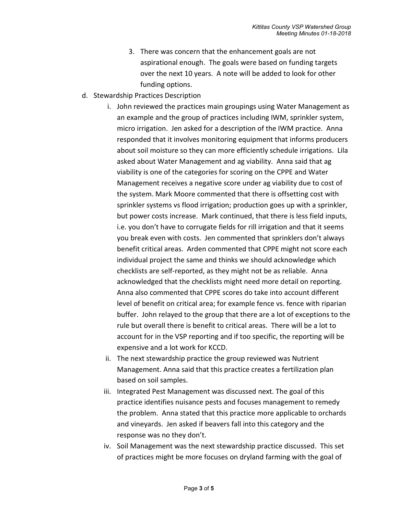- 3. There was concern that the enhancement goals are not aspirational enough. The goals were based on funding targets over the next 10 years. A note will be added to look for other funding options.
- d. Stewardship Practices Description
	- i. John reviewed the practices main groupings using Water Management as an example and the group of practices including IWM, sprinkler system, micro irrigation. Jen asked for a description of the IWM practice. Anna responded that it involves monitoring equipment that informs producers about soil moisture so they can more efficiently schedule irrigations. Lila asked about Water Management and ag viability. Anna said that ag viability is one of the categories for scoring on the CPPE and Water Management receives a negative score under ag viability due to cost of the system. Mark Moore commented that there is offsetting cost with sprinkler systems vs flood irrigation; production goes up with a sprinkler, but power costs increase. Mark continued, that there is less field inputs, i.e. you don't have to corrugate fields for rill irrigation and that it seems you break even with costs. Jen commented that sprinklers don't always benefit critical areas. Arden commented that CPPE might not score each individual project the same and thinks we should acknowledge which checklists are self-reported, as they might not be as reliable. Anna acknowledged that the checklists might need more detail on reporting. Anna also commented that CPPE scores do take into account different level of benefit on critical area; for example fence vs. fence with riparian buffer. John relayed to the group that there are a lot of exceptions to the rule but overall there is benefit to critical areas. There will be a lot to account for in the VSP reporting and if too specific, the reporting will be expensive and a lot work for KCCD.
	- ii. The next stewardship practice the group reviewed was Nutrient Management. Anna said that this practice creates a fertilization plan based on soil samples.
	- iii. Integrated Pest Management was discussed next. The goal of this practice identifies nuisance pests and focuses management to remedy the problem. Anna stated that this practice more applicable to orchards and vineyards. Jen asked if beavers fall into this category and the response was no they don't.
	- iv. Soil Management was the next stewardship practice discussed. This set of practices might be more focuses on dryland farming with the goal of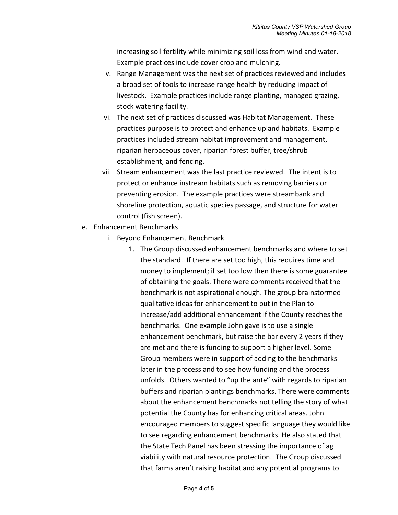increasing soil fertility while minimizing soil loss from wind and water. Example practices include cover crop and mulching.

- v. Range Management was the next set of practices reviewed and includes a broad set of tools to increase range health by reducing impact of livestock. Example practices include range planting, managed grazing, stock watering facility.
- vi. The next set of practices discussed was Habitat Management. These practices purpose is to protect and enhance upland habitats. Example practices included stream habitat improvement and management, riparian herbaceous cover, riparian forest buffer, tree/shrub establishment, and fencing.
- vii. Stream enhancement was the last practice reviewed. The intent is to protect or enhance instream habitats such as removing barriers or preventing erosion. The example practices were streambank and shoreline protection, aquatic species passage, and structure for water control (fish screen).
- e. Enhancement Benchmarks
	- i. Beyond Enhancement Benchmark
		- 1. The Group discussed enhancement benchmarks and where to set the standard. If there are set too high, this requires time and money to implement; if set too low then there is some guarantee of obtaining the goals. There were comments received that the benchmark is not aspirational enough. The group brainstormed qualitative ideas for enhancement to put in the Plan to increase/add additional enhancement if the County reaches the benchmarks. One example John gave is to use a single enhancement benchmark, but raise the bar every 2 years if they are met and there is funding to support a higher level. Some Group members were in support of adding to the benchmarks later in the process and to see how funding and the process unfolds. Others wanted to "up the ante" with regards to riparian buffers and riparian plantings benchmarks. There were comments about the enhancement benchmarks not telling the story of what potential the County has for enhancing critical areas. John encouraged members to suggest specific language they would like to see regarding enhancement benchmarks. He also stated that the State Tech Panel has been stressing the importance of ag viability with natural resource protection. The Group discussed that farms aren't raising habitat and any potential programs to